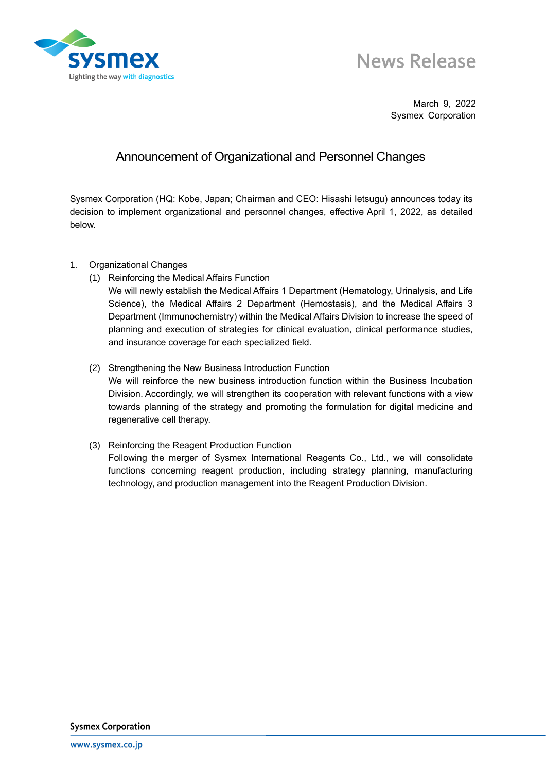

March 9, 2022 Sysmex Corporation

## Announcement of Organizational and Personnel Changes

Sysmex Corporation (HQ: Kobe, Japan; Chairman and CEO: Hisashi Ietsugu) announces today its decision to implement organizational and personnel changes, effective April 1, 2022, as detailed below.

- 1. Organizational Changes
	- (1) Reinforcing the Medical Affairs Function
		- We will newly establish the Medical Affairs 1 Department (Hematology, Urinalysis, and Life Science), the Medical Affairs 2 Department (Hemostasis), and the Medical Affairs 3 Department (Immunochemistry) within the Medical Affairs Division to increase the speed of planning and execution of strategies for clinical evaluation, clinical performance studies, and insurance coverage for each specialized field.
	- (2) Strengthening the New Business Introduction Function We will reinforce the new business introduction function within the Business Incubation Division. Accordingly, we will strengthen its cooperation with relevant functions with a view towards planning of the strategy and promoting the formulation for digital medicine and regenerative cell therapy.
	- (3) Reinforcing the Reagent Production Function Following the merger of Sysmex International Reagents Co., Ltd., we will consolidate functions concerning reagent production, including strategy planning, manufacturing technology, and production management into the Reagent Production Division.